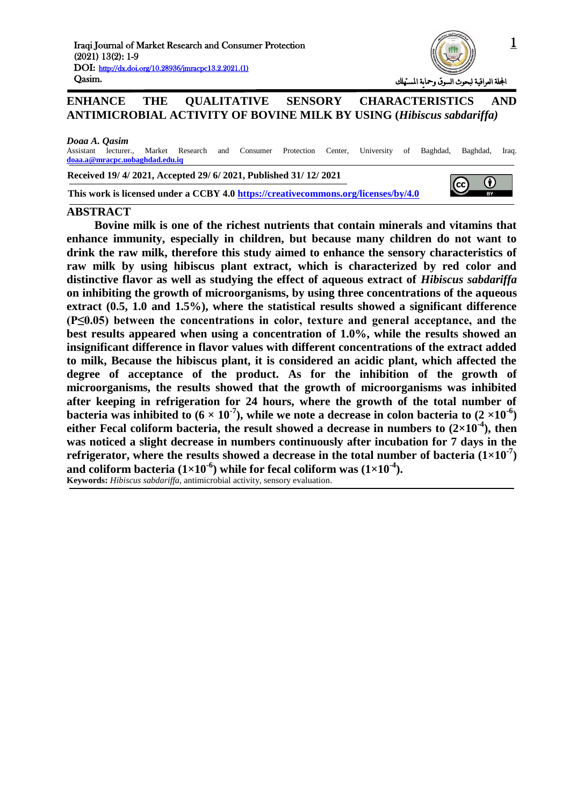

# **ENHANCE THE QUALITATIVE SENSORY CHARACTERISTICS AND ANTIMICROBIAL ACTIVITY OF BOVINE MILK BY USING (***Hibiscus sabdariffa)*

#### *Doaa A. Qasim*

Assistant lecturer., Market Research and Consumer Protection Center, University of Baghdad, Baghdad, Iraq. **doaa.a@mracpc.uobaghdad.edu.iq**

**Received 19/ 4/ 2021, Accepted 29/ 6/ 2021, Published 31/ 12/ 2021**

**This work is licensed under a CCBY 4.0<https://creativecommons.org/licenses/by/4.0>**



### **ABSTRACT**

**Bovine milk is one of the richest nutrients that contain minerals and vitamins that enhance immunity, especially in children, but because many children do not want to drink the raw milk, therefore this study aimed to enhance the sensory characteristics of raw milk by using hibiscus plant extract, which is characterized by red color and distinctive flavor as well as studying the effect of aqueous extract of** *Hibiscus sabdariffa* **on inhibiting the growth of microorganisms, by using three concentrations of the aqueous extract (0.5, 1.0 and 1.5%), where the statistical results showed a significant difference (P≤0.05) between the concentrations in color, texture and general acceptance, and the best results appeared when using a concentration of 1.0%, while the results showed an insignificant difference in flavor values with different concentrations of the extract added to milk, Because the hibiscus plant, it is considered an acidic plant, which affected the degree of acceptance of the product. As for the inhibition of the growth of microorganisms, the results showed that the growth of microorganisms was inhibited after keeping in refrigeration for 24 hours, where the growth of the total number of**  bacteria was inhibited to  $(6 \times 10^{-7})$ , while we note a decrease in colon bacteria to  $(2 \times 10^{-6})$ **either Fecal coliform bacteria, the result showed a decrease in numbers to**  $(2\times10^{-4})$ **, then was noticed a slight decrease in numbers continuously after incubation for 7 days in the refrigerator, where the results showed a decrease in the total number of bacteria (1×10-7 )**  and coliform bacteria  $(1\times10^{-6})$  while for fecal coliform was  $(1\times10^{-4})$ . **Keywords:** *Hibiscus sabdariffa*, antimicrobial activity, sensory evaluation.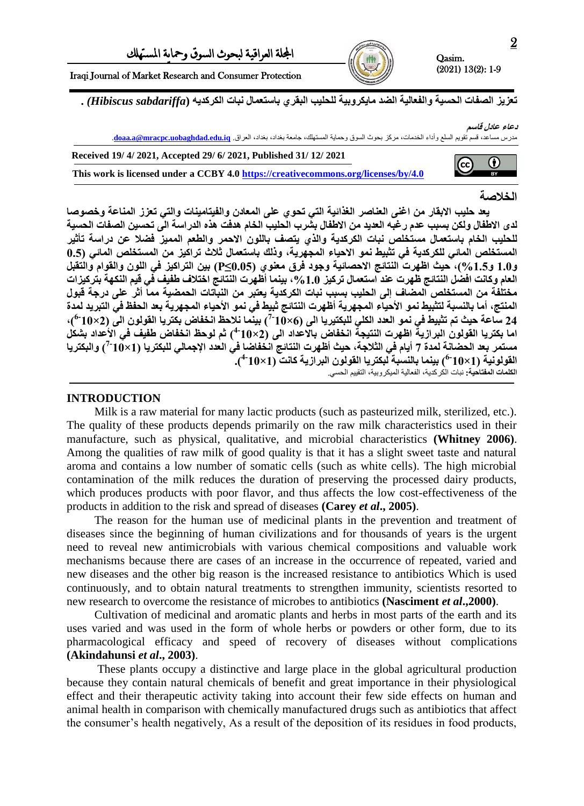$\left(\mathrm{cc}\right)$ 

Iraqi Journal of Market Research and Consumer Protection

تعزيز الصفات الحسية والفعالية الضد مايكروبية للحليب البقري باستعمال نبات الكركديه (Hibiscus sabdariffa) .

**دعاء عادل قاسى**

0

**RY** 

مدرس مساعد، قسم تقويم السلع وأداء الخدمات، مركز بحوث السوق وحماية المستهلك، جامعة بغداد، بغداد، العراق. **iq.edu.uobaghdad.mracpc@a.doaa**. **Received 19/ 4/ 2021, Accepted 29/ 6/ 2021, Published 31/ 12/ 2021**

**This work is licensed under a CCBY 4.0<https://creativecommons.org/licenses/by/4.0>**

# **انخالصح**

يعد حليب الابقار من اغُني العناصر الغُّذائية التي تحوي على المعادن والفيتامينات والتي تعزز المناعة وخصوصا لدى الاطفال ولكن بسبب عدم رغبه العديد من الاطفال بشَّرب الَّحليب الخام هدفت هذه الدراسة الِّي تحسين الصفات الحسية للحليب الخام باستعمال مستخلص نبات الكركدية والذي يتصف باللون الاحمر والطعم المميز فضلا عن دراسة تأثير المستخلص المائي للكركدية في تثبيط نمو الاحياء المجهرية، وذلك باستعمال ثلاث تراكيز من المستخلص المائي (0.5 **0.5ٔ %0.0ٔ(, حٛس اظٓشخ انُرائج االحصائٛح ٔجٕد فشق يعُٕ٘ )0.05≥P )تٍٛ انرشاكٛض فٙ انهٌٕ ٔانقٕاو ٔانرقثم انعاو ٔكاَد افضم انُرائج ظٓشخ عُذ اسرعًال ذشكٛض ,%0.5 تًُٛا أظٓشخ انُرائج اخرالف طفٛف فٙ قٛى انُكٓح ترشكٛضاخ** مختلفة من المستخلص المضاف إلى الحليب بسبب نبات الكركدية يعتبر من النباتات الحمضية مما أثر على درجة قبول المنتج، أما بالنسبة لتثبيط نمو الأحياء المجهرية أظهرت النتائج ثبيط في نمو الأحياء المجهرية بعد الحفظ في التبريد لمدة 24 ساعة حيث تم تثبيط في نمو العدد الكلي للبكتيريا الى (6×10<sup>-7</sup>) بينما نلاحظ انخفاض بكتريا القولون الى (2×10<sup>-6)</sup>)، اما بكتريا القولون البرازية اظهرت النتيجة انخفاض بالاعداد الى (2×10<sup>4)</sup>) ثم لوحظ انخفاض طفيف في الأعداد بشكل مستمر بعد الحضانــة لمدة 7 أيـام في الثلاجــة، حيث أظهرت النتائـج انـخفاضـا في العدد الإجمـالي للبكتريا (10×10-<sup>7</sup>) والبكتريـا القولونية (1 $\sim$ 10<sup>-6)</sup> بينما بالنسبة لبكتريا القولون البرازية كانت (1×10<sup>4</sup>). ا**لكلمات المفتاحية:** نبات الكركدية، الفعالية الميكروبية، التقييم الحسي<sub>.</sub>

# **INTRODUCTION**

Milk is a raw material for many lactic products (such as pasteurized milk, sterilized, etc.). The quality of these products depends primarily on the raw milk characteristics used in their manufacture, such as physical, qualitative, and microbial characteristics **(Whitney 2006)**. Among the qualities of raw milk of good quality is that it has a slight sweet taste and natural aroma and contains a low number of somatic cells (such as white cells). The high microbial contamination of the milk reduces the duration of preserving the processed dairy products, which produces products with poor flavor, and thus affects the low cost-effectiveness of the products in addition to the risk and spread of diseases **(Carey** *et al***., 2005)**.

The reason for the human use of medicinal plants in the prevention and treatment of diseases since the beginning of human civilizations and for thousands of years is the urgent need to reveal new antimicrobials with various chemical compositions and valuable work mechanisms because there are cases of an increase in the occurrence of repeated, varied and new diseases and the other big reason is the increased resistance to antibiotics Which is used continuously, and to obtain natural treatments to strengthen immunity, scientists resorted to new research to overcome the resistance of microbes to antibiotics **(Nasciment** *et al***.,2000)**.

Cultivation of medicinal and aromatic plants and herbs in most parts of the earth and its uses varied and was used in the form of whole herbs or powders or other form, due to its pharmacological efficacy and speed of recovery of diseases without complications **(Akindahunsi** *et al***., 2003)**.

These plants occupy a distinctive and large place in the global agricultural production because they contain natural chemicals of benefit and great importance in their physiological effect and their therapeutic activity taking into account their few side effects on human and animal health in comparison with chemically manufactured drugs such as antibiotics that affect the consumer's health negatively, As a result of the deposition of its residues in food products,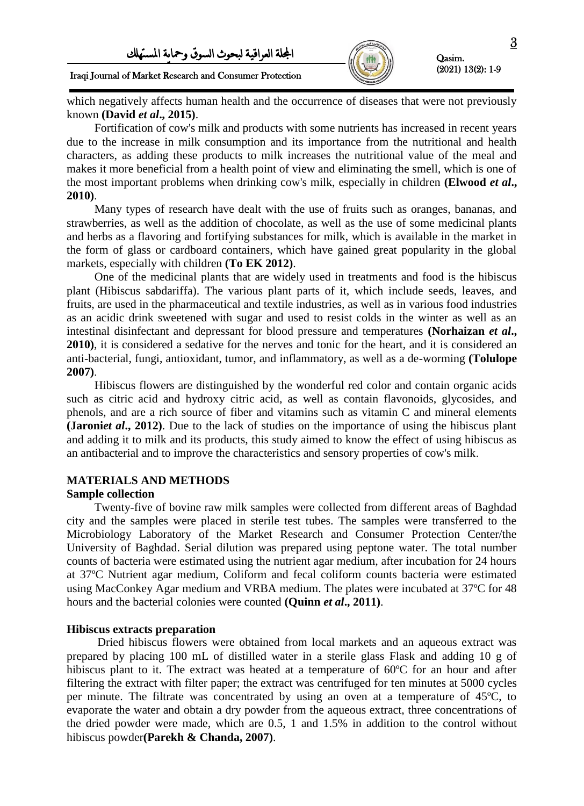

## Iraqi Journal of Market Research and Consumer Protection

which negatively affects human health and the occurrence of diseases that were not previously known **(David** *et al***., 2015)**.

Fortification of cow's milk and products with some nutrients has increased in recent years due to the increase in milk consumption and its importance from the nutritional and health characters, as adding these products to milk increases the nutritional value of the meal and makes it more beneficial from a health point of view and eliminating the smell, which is one of the most important problems when drinking cow's milk, especially in children **(Elwood** *et al***., 2010)**.

Many types of research have dealt with the use of fruits such as oranges, bananas, and strawberries, as well as the addition of chocolate, as well as the use of some medicinal plants and herbs as a flavoring and fortifying substances for milk, which is available in the market in the form of glass or cardboard containers, which have gained great popularity in the global markets, especially with children **(To EK 2012)**.

One of the medicinal plants that are widely used in treatments and food is the hibiscus plant (Hibiscus sabdariffa). The various plant parts of it, which include seeds, leaves, and fruits, are used in the pharmaceutical and textile industries, as well as in various food industries as an acidic drink sweetened with sugar and used to resist colds in the winter as well as an intestinal disinfectant and depressant for blood pressure and temperatures **(Norhaizan** *et al***., 2010)**, it is considered a sedative for the nerves and tonic for the heart, and it is considered an anti-bacterial, fungi, antioxidant, tumor, and inflammatory, as well as a de-worming **(Tolulope 2007)**.

Hibiscus flowers are distinguished by the wonderful red color and contain organic acids such as citric acid and hydroxy citric acid, as well as contain flavonoids, glycosides, and phenols, and are a rich source of fiber and vitamins such as vitamin C and mineral elements **(Jaroniet al., 2012)**. Due to the lack of studies on the importance of using the hibiscus plant and adding it to milk and its products, this study aimed to know the effect of using hibiscus as an antibacterial and to improve the characteristics and sensory properties of cow's milk.

### **MATERIALS AND METHODS**

### **Sample collection**

Twenty-five of bovine raw milk samples were collected from different areas of Baghdad city and the samples were placed in sterile test tubes. The samples were transferred to the Microbiology Laboratory of the Market Research and Consumer Protection Center/the University of Baghdad. Serial dilution was prepared using peptone water. The total number counts of bacteria were estimated using the nutrient agar medium, after incubation for 24 hours at 37ºC Nutrient agar medium, Coliform and fecal coliform counts bacteria were estimated using MacConkey Agar medium and VRBA medium. The plates were incubated at 37ºC for 48 hours and the bacterial colonies were counted **(Quinn** *et al***., 2011)**.

### **Hibiscus extracts preparation**

Dried hibiscus flowers were obtained from local markets and an aqueous extract was prepared by placing 100 mL of distilled water in a sterile glass Flask and adding 10 g of hibiscus plant to it. The extract was heated at a temperature of 60<sup>o</sup>C for an hour and after filtering the extract with filter paper; the extract was centrifuged for ten minutes at 5000 cycles per minute. The filtrate was concentrated by using an oven at a temperature of 45ºC, to evaporate the water and obtain a dry powder from the aqueous extract, three concentrations of the dried powder were made, which are 0.5, 1 and 1.5% in addition to the control without hibiscus powder**(Parekh & Chanda, 2007)**.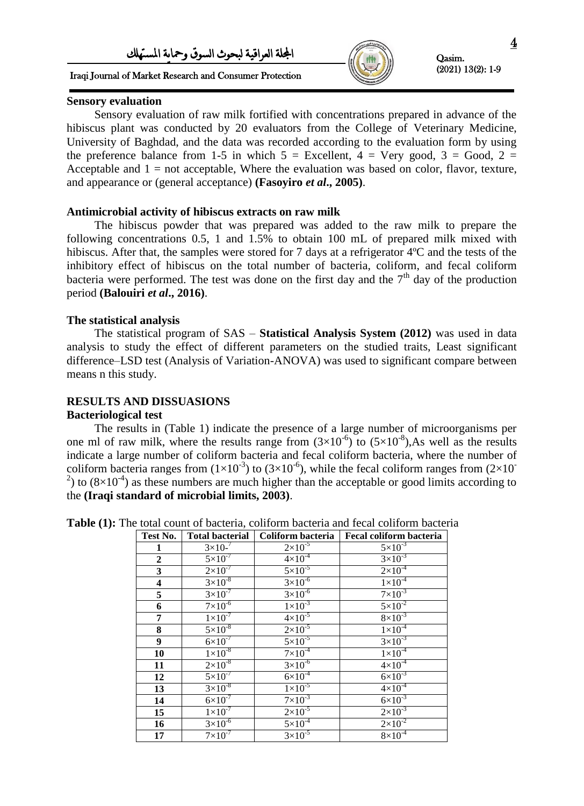# Iraqi Journal of Market Research and Consumer Protection



Qasim. (2021) 13(2): 1-9

### **Sensory evaluation**

Sensory evaluation of raw milk fortified with concentrations prepared in advance of the hibiscus plant was conducted by 20 evaluators from the College of Veterinary Medicine, University of Baghdad, and the data was recorded according to the evaluation form by using the preference balance from 1-5 in which  $5 =$  Excellent,  $4 =$  Very good,  $3 =$  Good,  $2 =$ Acceptable and  $1 = not acceptable$ , Where the evaluation was based on color, flavor, texture, and appearance or (general acceptance) **(Fasoyiro** *et al***., 2005)**.

# **Antimicrobial activity of hibiscus extracts on raw milk**

The hibiscus powder that was prepared was added to the raw milk to prepare the following concentrations 0.5, 1 and 1.5% to obtain 100 mL of prepared milk mixed with hibiscus. After that, the samples were stored for 7 days at a refrigerator  $4^{\circ}C$  and the tests of the inhibitory effect of hibiscus on the total number of bacteria, coliform, and fecal coliform bacteria were performed. The test was done on the first day and the  $7<sup>th</sup>$  day of the production period **(Balouiri** *et al***., 2016)**.

# **The statistical analysis**

The statistical program of SAS – **Statistical Analysis System (2012)** was used in data analysis to study the effect of different parameters on the studied traits, Least significant difference–LSD test (Analysis of Variation-ANOVA) was used to significant compare between means n this study.

# **RESULTS AND DISSUASIONS**

### **Bacteriological test**

The results in (Table 1) indicate the presence of a large number of microorganisms per one ml of raw milk, where the results range from  $(3\times10^{-6})$  to  $(5\times10^{-8})$ , As well as the results indicate a large number of coliform bacteria and fecal coliform bacteria, where the number of coliform bacteria ranges from  $(1\times10^{-3})$  to  $(3\times10^{-6})$ , while the fecal coliform ranges from  $(2\times10^{-7})$ <sup>2</sup>) to  $(8\times10^{-4})$  as these numbers are much higher than the acceptable or good limits according to the **(Iraqi standard of microbial limits, 2003)**.

**Table (1):** The total count of bacteria, coliform bacteria and fecal coliform bacteria

| Test No.                | <b>Total bacterial</b> | Coliform bacteria  | Fecal coliform bacteria |
|-------------------------|------------------------|--------------------|-------------------------|
| $\mathbf{1}$            | $3 \times 10^{-7}$     | $2 \times 10^{-5}$ | $5 \times 10^{-3}$      |
| $\mathbf{2}$            | $5\times10^{-7}$       | $4 \times 10^{-4}$ | $3 \times 10^{-3}$      |
| $\overline{\mathbf{3}}$ | $2 \times 10^{-7}$     | $5 \times 10^{-5}$ | $2 \times 10^{-4}$      |
| $\overline{\mathbf{4}}$ | $3 \times 10^{-8}$     | $3 \times 10^{-6}$ | $1\times10^{-4}$        |
| $\overline{5}$          | $3 \times 10^{-7}$     | $3 \times 10^{-6}$ | $7 \times 10^{-3}$      |
| $\overline{6}$          | $7\times10^{-6}$       | $1 \times 10^{-3}$ | $5 \times 10^{-2}$      |
| $\overline{\mathbf{7}}$ | $1\times10^{-7}$       | $4 \times 10^{-5}$ | $8 \times 10^{-3}$      |
| $\overline{\mathbf{8}}$ | $5 \times 10^{-8}$     | $2 \times 10^{-5}$ | $1\times10^{-4}$        |
| $\overline{9}$          | $6 \times 10^{-7}$     | $5 \times 10^{-5}$ | $3 \times 10^{-3}$      |
| 10                      | $1\times10^{-8}$       | $7\times10^{-4}$   | $1 \times 10^{-4}$      |
| 11                      | $2 \times 10^{-8}$     | $3 \times 10^{-6}$ | $4 \times 10^{-4}$      |
| $\overline{12}$         | $5 \times 10^{-7}$     | $6 \times 10^{-4}$ | $6 \times 10^{-3}$      |
| $\overline{13}$         | $3 \times 10^{-8}$     | $1 \times 10^{-5}$ | $4 \times 10^{-4}$      |
| $\overline{14}$         | $6 \times 10^{-7}$     | $7 \times 10^{-3}$ | $6 \times 10^{-3}$      |
| 15                      | $1\times10^{-7}$       | $2 \times 10^{-5}$ | $2 \times 10^{-3}$      |
| 16                      | $3 \times 10^{-6}$     | $5 \times 10^{-4}$ | $2 \times 10^{-2}$      |
| $\overline{17}$         | $7 \times 10^{-7}$     | $3 \times 10^{-5}$ | $8\times10^{-4}$        |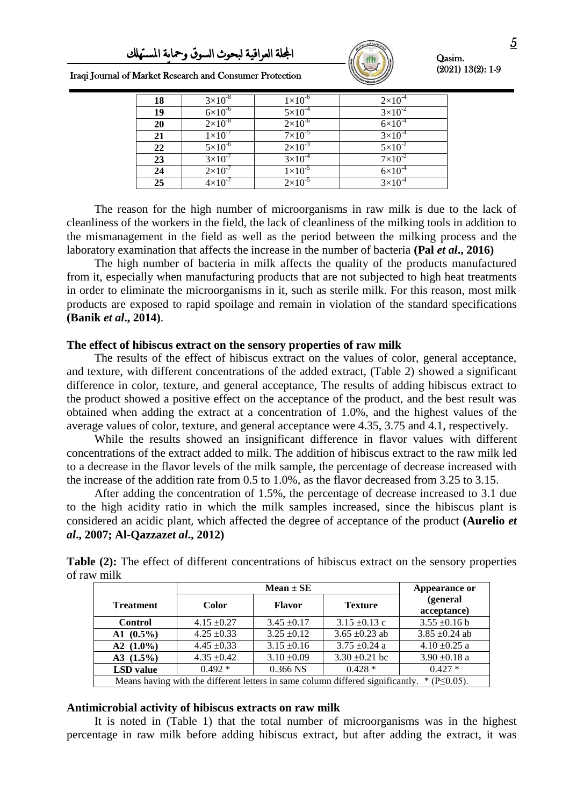

| Iraqi Journal of Market Research and Consumer Protection |  |  |  |  |  |  |  |
|----------------------------------------------------------|--|--|--|--|--|--|--|
|----------------------------------------------------------|--|--|--|--|--|--|--|

| 18 | $3\times10^{-8}$   | $1\times10^{-6}$   | $2\times10^{-4}$   |
|----|--------------------|--------------------|--------------------|
| 19 | $6 \times 10^{-6}$ | $5 \times 10^{-4}$ | $3 \times 10^{-2}$ |
| 20 | $2\times10^{-8}$   | $2 \times 10^{-6}$ | $6 \times 10^{-4}$ |
| 21 | $1 \times 10^{-7}$ | $7 \times 10^{-5}$ | $3\times10^{-4}$   |
| 22 | $5 \times 10^{-6}$ | $2 \times 10^{-3}$ | $5 \times 10^{-2}$ |
| 23 | $3 \times 10^{-7}$ | $3 \times 10^{-4}$ | $7 \times 10^{-2}$ |
| 24 | $2 \times 10^{-7}$ | $1 \times 10^{-5}$ | $6 \times 10^{-4}$ |
| 25 | $4\times10^{-7}$   | $2\times10^{-5}$   | $3 \times 10^{-4}$ |

The reason for the high number of microorganisms in raw milk is due to the lack of cleanliness of the workers in the field, the lack of cleanliness of the milking tools in addition to the mismanagement in the field as well as the period between the milking process and the laboratory examination that affects the increase in the number of bacteria **(Pal** *et al***., 2016)**

The high number of bacteria in milk affects the quality of the products manufactured from it, especially when manufacturing products that are not subjected to high heat treatments in order to eliminate the microorganisms in it, such as sterile milk. For this reason, most milk products are exposed to rapid spoilage and remain in violation of the standard specifications **(Banik** *et al***., 2014)**.

#### **The effect of hibiscus extract on the sensory properties of raw milk**

The results of the effect of hibiscus extract on the values of color, general acceptance, and texture, with different concentrations of the added extract, (Table 2) showed a significant difference in color, texture, and general acceptance, The results of adding hibiscus extract to the product showed a positive effect on the acceptance of the product, and the best result was obtained when adding the extract at a concentration of 1.0%, and the highest values of the average values of color, texture, and general acceptance were 4.35, 3.75 and 4.1, respectively.

While the results showed an insignificant difference in flavor values with different concentrations of the extract added to milk. The addition of hibiscus extract to the raw milk led to a decrease in the flavor levels of the milk sample, the percentage of decrease increased with the increase of the addition rate from 0.5 to 1.0%, as the flavor decreased from 3.25 to 3.15.

After adding the concentration of 1.5%, the percentage of decrease increased to 3.1 due to the high acidity ratio in which the milk samples increased, since the hibiscus plant is considered an acidic plant, which affected the degree of acceptance of the product **(Aurelio** *et al***., 2007; Al-Qazzaz***et al***., 2012)**

|                  |                 | $Mean \pm SE$   |                                                                                |                         |  |  |
|------------------|-----------------|-----------------|--------------------------------------------------------------------------------|-------------------------|--|--|
| <b>Treatment</b> | Color           | <b>Flavor</b>   | <b>Texture</b>                                                                 | (general<br>acceptance) |  |  |
| <b>Control</b>   | $4.15 \pm 0.27$ | $3.45 \pm 0.17$ | $3.15 \pm 0.13$ c                                                              | $3.55 \pm 0.16$ b       |  |  |
| A1 $(0.5\%)$     | $4.25 \pm 0.33$ | $3.25 \pm 0.12$ | $3.65 \pm 0.23$ ab                                                             | $3.85 \pm 0.24$ ab      |  |  |
| A2 $(1.0\%)$     | $4.45 \pm 0.33$ | $3.15 \pm 0.16$ | $3.75 \pm 0.24$ a                                                              | $4.10 \pm 0.25$ a       |  |  |
| A3 $(1.5\%)$     | $4.35 \pm 0.42$ | $3.10 \pm 0.09$ | $3.30 \pm 0.21$ bc                                                             | $3.90 \pm 0.18$ a       |  |  |
| <b>LSD</b> value | $0.492*$        | $0.366$ NS      | $0.428*$                                                                       | $0.427*$                |  |  |
|                  |                 |                 | Means having with the different letters in same column differed significantly. | * $(P \le 0.05)$ .      |  |  |

**Table (2):** The effect of different concentrations of hibiscus extract on the sensory properties of raw milk

### **Antimicrobial activity of hibiscus extracts on raw milk**

It is noted in (Table 1) that the total number of microorganisms was in the highest percentage in raw milk before adding hibiscus extract, but after adding the extract, it was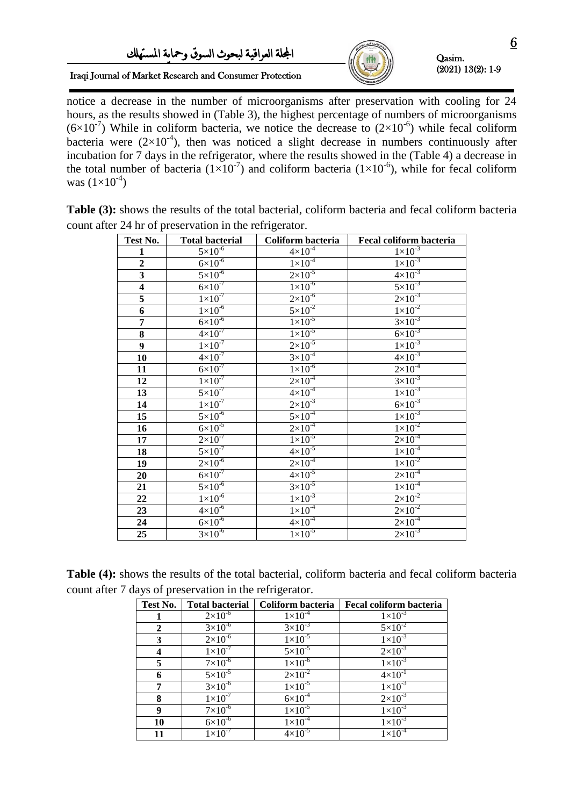Iraqi Journal of Market Research and Consumer Protection



Qasim. (2021) 13(2): 1-9

notice a decrease in the number of microorganisms after preservation with cooling for 24 hours, as the results showed in (Table 3), the highest percentage of numbers of microorganisms  $(6\times10^{-7})$  While in coliform bacteria, we notice the decrease to  $(2\times10^{-6})$  while fecal coliform bacteria were  $(2\times10^{-4})$ , then was noticed a slight decrease in numbers continuously after incubation for 7 days in the refrigerator, where the results showed in the (Table 4) a decrease in the total number of bacteria  $(1\times10^{-7})$  and coliform bacteria  $(1\times10^{-6})$ , while for fecal coliform was  $(1\times10^{-4})$ 

> **Test No. Total bacterial Coliform bacteria Fecal coliform bacteria 1**  $5 \times 10^{-6}$ <br>**2**  $6 \times 10^{-6}$  $4\times10^{-4}$  $1 \times 10^{-3}$  $\frac{2}{3}$  6×10<sup>-6</sup><br>5×10<sup>-6</sup>  $1 \times 10^{-4}$  $1\times10^{-3}$  $5 \times 10^{-6}$  $2 \times 10^{-5}$  $4 \times 10^{-3}$ **4**  $6 \times 10^{-7}$  $1 \times 10^{-6}$  $5 \times 10^{-3}$ **5**  $1 \times 10^{-7}$  $2\times10^{-6}$  $2 \times 10^{-3}$ **6**  $1 \times 10^{-6}$ <br> **7**  $6 \times 10^{-6}$  $5\times10^{-2}$  $1 \times 10^{-2}$  $6\times10^{-6}$  $1 \times 10^{-5}$  $3 \times 10^{-3}$ **8**  $4 \times 10^{-7}$  $1 \times 10^{-5}$  $6 \times 10^{-3}$ **9**  $1 \times 10^{-7}$  $2 \times 10^{-5}$  $1 \times 10^{-3}$ **10**  $4 \times 10^{-7}$  $3\times10^{-4}$  $4 \times 10^{-3}$ **11**  $6 \times 10^{-7}$  $1\times10^{-6}$  $2 \times 10^{-4}$ **12**  $1 \times 10^{-7}$  $2 \times 10^{-4}$  $3 \times 10^{-3}$ **13**  $5 \times 10^{-7}$  $4 \times 10^{-4}$  $1 \times 10^{-3}$ **14**  $1 \times 10^{-7}$  $2 \times 10^{-3}$  $6 \times 10^{-3}$ **15**  $5 \times 10^{-6}$  $5 \times 10^{-4}$  $1 \times 10^{-3}$ **16**  $6 \times 10^{-5}$  $2\times10^{-4}$  $1 \times 10^{-2}$ **17**  $2 \times 10^{-7}$  $1 \times 10^{-5}$  $2 \times 10^{-4}$ **18**  $5 \times 10^{-7}$  $4 \times 10^{-5}$  $1 \times 10^{-4}$ **19**  $2 \times 10^{-6}$  $2 \times 10^{-4}$  $1 \times 10^{-2}$ **20**  $6 \times 10^{-7}$  $4 \times 10^{-5}$  $2 \times 10^{-4}$ **21**  $5 \times 10^{-6}$  $3\times10^{-5}$  $1 \times 10^{-4}$ **22**  $1 \times 10^{-6}$  $1 \times 10^{-3}$  $2 \times 10^{-2}$ **23**  $4 \times 10^{-6}$  $1 \times 10^{-4}$  $2 \times 10^{-2}$ **24**  $6 \times 10^{-6}$  $4\times10^{-4}$  $2 \times 10^{-4}$ **25**  $3 \times 10^{-6}$  $1 \times 10^{-5}$  $2 \times 10^{-3}$

**Table (3):** shows the results of the total bacterial, coliform bacteria and fecal coliform bacteria count after 24 hr of preservation in the refrigerator.

| <b>Table (4):</b> shows the results of the total bacterial, coliform bacteria and fecal coliform bacteria |  |  |  |  |  |  |
|-----------------------------------------------------------------------------------------------------------|--|--|--|--|--|--|
| count after 7 days of preservation in the refrigerator.                                                   |  |  |  |  |  |  |

| Test No.     | <b>Total bacterial</b> | Coliform bacteria  | Fecal coliform bacteria |
|--------------|------------------------|--------------------|-------------------------|
|              | $2 \times 10^{-6}$     | $1\times10^{-4}$   | $1 \times 10^{-3}$      |
| $\mathbf{2}$ | $3 \times 10^{-6}$     | $3 \times 10^{-3}$ | $5 \times 10^{-2}$      |
| 3            | $2 \times 10^{-6}$     | $1 \times 10^{-5}$ | $1 \times 10^{-3}$      |
|              | $1 \times 10^{-7}$     | $5 \times 10^{-5}$ | $2 \times 10^{-3}$      |
| 5            | $7 \times 10^{-6}$     | $1\times10^{-6}$   | $1 \times 10^{-3}$      |
| 6            | $5 \times 10^{-5}$     | $2 \times 10^{-2}$ | $4 \times 10^{-1}$      |
| 7            | $3 \times 10^{-6}$     | $1\times10^{-5}$   | $1 \times 10^{-3}$      |
| 8            | $1\times10^{-7}$       | $6\times10^{-4}$   | $2 \times 10^{-3}$      |
| 9            | $7\times10^{-6}$       | $1\times10^{-5}$   | $1 \times 10^{-3}$      |
| 10           | $6 \times 10^{-6}$     | $1\times10^{-4}$   | $1 \times 10^{-3}$      |
| 11           | $1 \times 10^{-7}$     | $4 \times 10^{-5}$ | $1 \times 10^{-4}$      |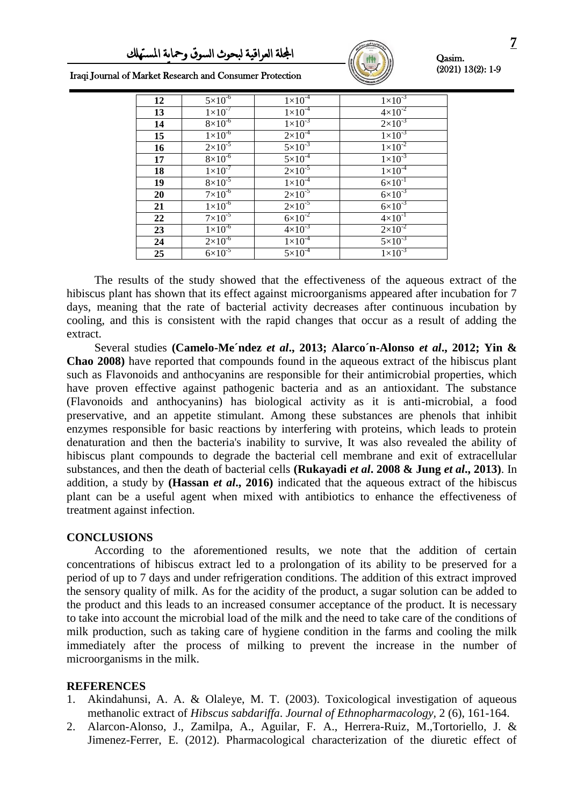

| Iraqi Journal of Market Research and Consumer Protection |  |  |  |  |  |  |
|----------------------------------------------------------|--|--|--|--|--|--|
|----------------------------------------------------------|--|--|--|--|--|--|

| 12 | $5 \times 10^{-6}$ | $1 \times 10^{-4}$ | $1 \times 10^{-3}$ |
|----|--------------------|--------------------|--------------------|
| 13 | $1\times10^{-7}$   | $1\times10^{-4}$   | $4 \times 10^{-2}$ |
| 14 | $8\times10^{-6}$   | $1 \times 10^{-3}$ | $2 \times 10^{-3}$ |
| 15 | $1\times10^{-6}$   | $2 \times 10^{-4}$ | $1 \times 10^{-3}$ |
| 16 | $2 \times 10^{-5}$ | $5 \times 10^{-3}$ | $1 \times 10^{-2}$ |
| 17 | $8\times10^{-6}$   | $5 \times 10^{-4}$ | $1 \times 10^{-3}$ |
| 18 | $1 \times 10^{-7}$ | $2 \times 10^{-5}$ | $1 \times 10^{-4}$ |
| 19 | $8 \times 10^{-5}$ | $1 \times 10^{-4}$ | $6 \times 10^{-1}$ |
| 20 | $7 \times 10^{-6}$ | $2 \times 10^{-5}$ | $6 \times 10^{-3}$ |
| 21 | $1 \times 10^{-6}$ | $2 \times 10^{-5}$ | $6 \times 10^{-3}$ |
| 22 | $7\times10^{-5}$   | $6 \times 10^{-2}$ | $4 \times 10^{-1}$ |
| 23 | $1 \times 10^{-6}$ | $4 \times 10^{-3}$ | $2 \times 10^{-2}$ |
| 24 | $2\times10^{-6}$   | $1\times10^{-4}$   | $5 \times 10^{-3}$ |
| 25 | $6 \times 10^{-5}$ | $5 \times 10^{-4}$ | $1 \times 10^{-3}$ |

The results of the study showed that the effectiveness of the aqueous extract of the hibiscus plant has shown that its effect against microorganisms appeared after incubation for 7 days, meaning that the rate of bacterial activity decreases after continuous incubation by cooling, and this is consistent with the rapid changes that occur as a result of adding the extract.

Several studies **(Camelo-Me´ndez** *et al***., 2013; Alarco´n-Alonso** *et al***., 2012; Yin & Chao 2008)** have reported that compounds found in the aqueous extract of the hibiscus plant such as Flavonoids and anthocyanins are responsible for their antimicrobial properties, which have proven effective against pathogenic bacteria and as an antioxidant. The substance (Flavonoids and anthocyanins) has biological activity as it is anti-microbial, a food preservative, and an appetite stimulant. Among these substances are phenols that inhibit enzymes responsible for basic reactions by interfering with proteins, which leads to protein denaturation and then the bacteria's inability to survive, It was also revealed the ability of hibiscus plant compounds to degrade the bacterial cell membrane and exit of extracellular substances, and then the death of bacterial cells **(Rukayadi** *et al***. 2008 & Jung** *et al***., 2013)**. In addition, a study by **(Hassan** *et al***., 2016)** indicated that the aqueous extract of the hibiscus plant can be a useful agent when mixed with antibiotics to enhance the effectiveness of treatment against infection.

### **CONCLUSIONS**

According to the aforementioned results, we note that the addition of certain concentrations of hibiscus extract led to a prolongation of its ability to be preserved for a period of up to 7 days and under refrigeration conditions. The addition of this extract improved the sensory quality of milk. As for the acidity of the product, a sugar solution can be added to the product and this leads to an increased consumer acceptance of the product. It is necessary to take into account the microbial load of the milk and the need to take care of the conditions of milk production, such as taking care of hygiene condition in the farms and cooling the milk immediately after the process of milking to prevent the increase in the number of microorganisms in the milk.

### **REFERENCES**

- 1. Akindahunsi, A. A. & Olaleye, M. T. (2003). Toxicological investigation of aqueous methanolic extract of *Hibscus sabdariffa*. *Journal of Ethnopharmacology,* 2 (6), 161-164.
- 2. Alarcon-Alonso, J., Zamilpa, A., Aguilar, F. A., Herrera-Ruiz, M.,Tortoriello, J. & Jimenez-Ferrer, E. (2012). Pharmacological characterization of the diuretic effect of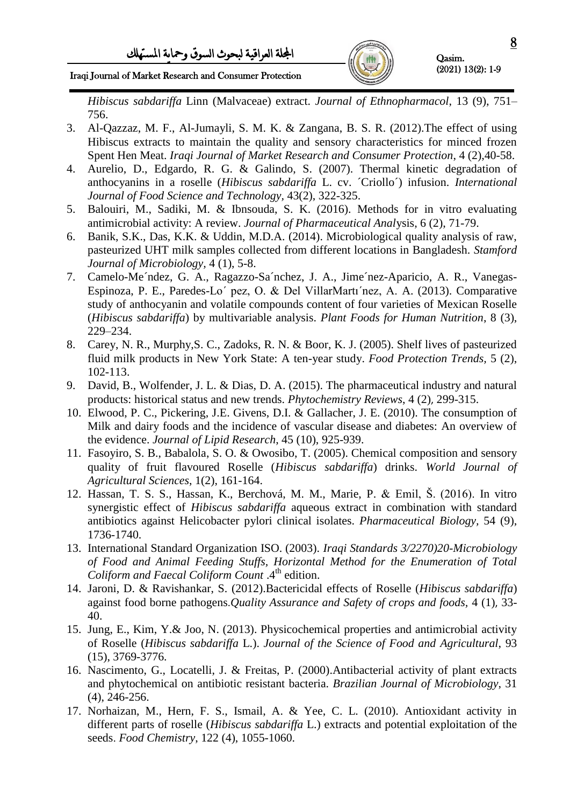

Iraqi Journal of Market Research and Consumer Protection

*Hibiscus sabdariffa* Linn (Malvaceae) extract. *Journal of Ethnopharmacol*, 13 (9), 751– 756.

- 3. Al-Qazzaz, M. F., Al-Jumayli, S. M. K. & Zangana, B. S. R. (2012).The effect of using Hibiscus extracts to maintain the quality and sensory characteristics for minced frozen Spent Hen Meat. *Iraqi Journal of Market Research and Consumer Protection*, 4 (2),40-58.
- 4. Aurelio, D., Edgardo, R. G. & Galindo, S. (2007). Thermal kinetic degradation of anthocyanins in a roselle (*Hibiscus sabdariffa* L. cv. ´Criollo´) infusion. *International Journal of Food Science and Technology,* 43(2), 322-325.
- 5. Balouiri, M., Sadiki, M. & Ibnsouda, S. K. (2016). Methods for in vitro evaluating antimicrobial activity: A review. *Journal of Pharmaceutical Anal*ysis, 6 (2), 71-79.
- 6. Banik, S.K., Das, K.K. & Uddin, M.D.A. (2014). Microbiological quality analysis of raw, pasteurized UHT milk samples collected from different locations in Bangladesh. *Stamford Journal of Microbiology,* 4 (1), 5-8.
- 7. Camelo-Me´ndez, G. A., Ragazzo-Sa´nchez, J. A., Jime´nez-Aparicio, A. R., Vanegas-Espinoza, P. E., Paredes-Lo´ pez, O. & Del VillarMartı´nez, A. A. (2013). Comparative study of anthocyanin and volatile compounds content of four varieties of Mexican Roselle (*Hibiscus sabdariffa*) by multivariable analysis. *Plant Foods for Human Nutrition*, 8 (3), 229–234.
- 8. Carey, N. R., Murphy,S. C., Zadoks, R. N. & Boor, K. J. (2005). Shelf lives of pasteurized fluid milk products in New York State: A ten-year study. *Food Protection Trends,* 5 (2), 102-113.
- 9. David, B., Wolfender, J. L. & Dias, D. A. (2015). The pharmaceutical industry and natural products: historical status and new trends. *Phytochemistry Reviews*, 4 (2), 299-315.
- 10. Elwood, P. C., Pickering, J.E. Givens, D.I. & Gallacher, J. E. (2010). The consumption of Milk and dairy foods and the incidence of vascular disease and diabetes: An overview of the evidence. *Journal of Lipid Research*, 45 (10), 925-939.
- 11. Fasoyiro, S. B., Babalola, S. O. & Owosibo, T. (2005). Chemical composition and sensory quality of fruit flavoured Roselle (*Hibiscus sabdariffa*) drinks. *World Journal of Agricultural Sciences*, 1(2), 161-164.
- 12. Hassan, T. S. S., Hassan, K., Berchová, M. M., Marie, P. & Emil, Š. (2016). In vitro synergistic effect of *Hibiscus sabdariffa* aqueous extract in combination with standard antibiotics against Helicobacter pylori clinical isolates. *Pharmaceutical Biology,* 54 (9), 1736-1740.
- 13. International Standard Organization ISO. (2003). *Iraqi Standards 3/2270)20-Microbiology of Food and Animal Feeding Stuffs, Horizontal Method for the Enumeration of Total Coliform and Faecal Coliform Count* .4th edition.
- 14. Jaroni, D. & Ravishankar, S. (2012).Bactericidal effects of Roselle (*Hibiscus sabdariffa*) against food borne pathogens.*Quality Assurance and Safety of crops and foods,* 4 (1), 33- 40.
- 15. Jung, E., Kim, Y.& Joo, N. (2013). Physicochemical properties and antimicrobial activity of Roselle (*Hibiscus sabdariffa* L.). *Journal of the Science of Food and Agricultural*, 93 (15), 3769-3776.
- 16. Nascimento, G., Locatelli, J. & Freitas, P. (2000).Antibacterial activity of plant extracts and phytochemical on antibiotic resistant bacteria. *Brazilian Journal of Microbiology*, 31 (4), 246-256.
- 17. Norhaizan, M., Hern, F. S., Ismail, A. & Yee, C. L. (2010). Antioxidant activity in different parts of roselle (*Hibiscus sabdariffa* L.) extracts and potential exploitation of the seeds. *Food Chemistry*, 122 (4), 1055-1060.